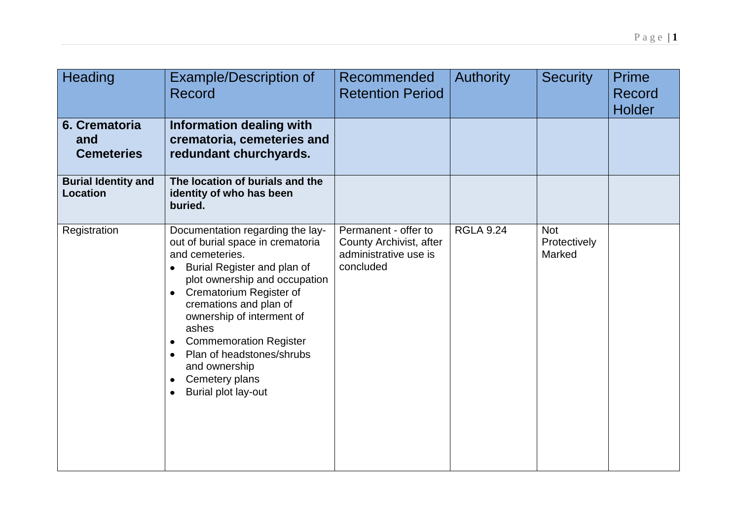| Heading                                       | <b>Example/Description of</b><br>Record                                                                                                                                                                                                                                                                                                                                                                                                                          | Recommended<br><b>Retention Period</b>                                                | <b>Authority</b> | <b>Security</b>                      | <b>Prime</b><br>Record<br><b>Holder</b> |
|-----------------------------------------------|------------------------------------------------------------------------------------------------------------------------------------------------------------------------------------------------------------------------------------------------------------------------------------------------------------------------------------------------------------------------------------------------------------------------------------------------------------------|---------------------------------------------------------------------------------------|------------------|--------------------------------------|-----------------------------------------|
| 6. Crematoria<br>and<br><b>Cemeteries</b>     | <b>Information dealing with</b><br>crematoria, cemeteries and<br>redundant churchyards.                                                                                                                                                                                                                                                                                                                                                                          |                                                                                       |                  |                                      |                                         |
| <b>Burial Identity and</b><br><b>Location</b> | The location of burials and the<br>identity of who has been<br>buried.                                                                                                                                                                                                                                                                                                                                                                                           |                                                                                       |                  |                                      |                                         |
| Registration                                  | Documentation regarding the lay-<br>out of burial space in crematoria<br>and cemeteries.<br>Burial Register and plan of<br>$\bullet$<br>plot ownership and occupation<br><b>Crematorium Register of</b><br>$\bullet$<br>cremations and plan of<br>ownership of interment of<br>ashes<br><b>Commemoration Register</b><br>$\bullet$<br>Plan of headstones/shrubs<br>$\bullet$<br>and ownership<br>Cemetery plans<br>$\bullet$<br>Burial plot lay-out<br>$\bullet$ | Permanent - offer to<br>County Archivist, after<br>administrative use is<br>concluded | <b>RGLA 9.24</b> | <b>Not</b><br>Protectively<br>Marked |                                         |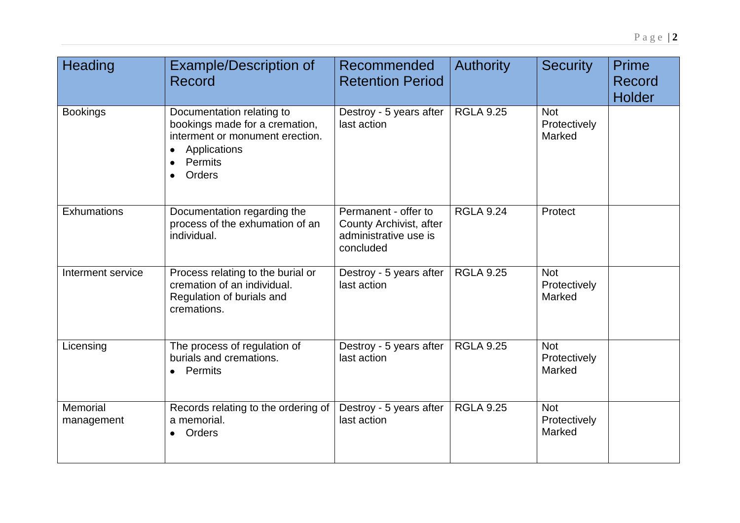| Heading                | <b>Example/Description of</b><br>Record                                                                                                                       | Recommended<br><b>Retention Period</b>                                                | <b>Authority</b> | <b>Security</b>                      | Prime<br>Record<br><b>Holder</b> |
|------------------------|---------------------------------------------------------------------------------------------------------------------------------------------------------------|---------------------------------------------------------------------------------------|------------------|--------------------------------------|----------------------------------|
| <b>Bookings</b>        | Documentation relating to<br>bookings made for a cremation,<br>interment or monument erection.<br>Applications<br>$\bullet$<br>Permits<br>Orders<br>$\bullet$ | Destroy - 5 years after<br>last action                                                | <b>RGLA 9.25</b> | <b>Not</b><br>Protectively<br>Marked |                                  |
| <b>Exhumations</b>     | Documentation regarding the<br>process of the exhumation of an<br>individual.                                                                                 | Permanent - offer to<br>County Archivist, after<br>administrative use is<br>concluded | <b>RGLA 9.24</b> | Protect                              |                                  |
| Interment service      | Process relating to the burial or<br>cremation of an individual.<br>Regulation of burials and<br>cremations.                                                  | Destroy - 5 years after<br>last action                                                | <b>RGLA 9.25</b> | <b>Not</b><br>Protectively<br>Marked |                                  |
| Licensing              | The process of regulation of<br>burials and cremations.<br>• Permits                                                                                          | Destroy - 5 years after<br>last action                                                | <b>RGLA 9.25</b> | <b>Not</b><br>Protectively<br>Marked |                                  |
| Memorial<br>management | Records relating to the ordering of<br>a memorial.<br>Orders<br>$\bullet$                                                                                     | Destroy - 5 years after<br>last action                                                | <b>RGLA 9.25</b> | <b>Not</b><br>Protectively<br>Marked |                                  |